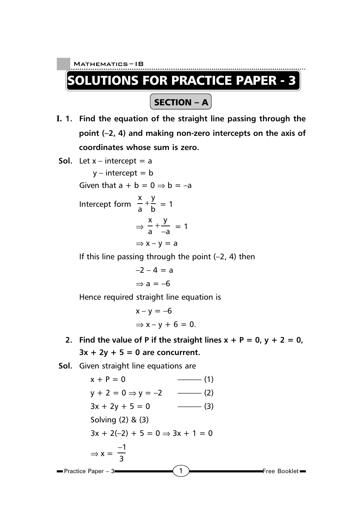**UTIONS FOR PRACTICE PAPER - 3** 

SECTION – A

- **I. 1. Find the equation of the straight line passing through the point (–2, 4) and making non-zero intercepts on the axis of coordinates whose sum is zero.**
- **Sol.** Let  $x$  intercept = a

 $y$  – intercept = b Given that  $a + b = 0 \Rightarrow b = -a$ 

Intercept form 
$$
\frac{x}{a} + \frac{y}{b} = 1
$$
  

$$
\Rightarrow \frac{x}{a} + \frac{y}{-a} = 1
$$

$$
\Rightarrow x - y = a
$$

If this line passing through the point  $(-2, 4)$  then

$$
-2 - 4 = a
$$

$$
\Rightarrow a = -6
$$

Hence required straight line equation is

$$
x - y = -6
$$
  

$$
\Rightarrow x - y + 6 = 0.
$$

**2.** Find the value of P if the straight lines  $x + P = 0$ ,  $y + 2 = 0$ ,  $3x + 2y + 5 = 0$  are concurrent.

**Sol.** Given straight line equations are

$$
x + P = 0
$$
\n
$$
y + 2 = 0 \Rightarrow y = -2
$$
\n
$$
3x + 2y + 5 = 0
$$
\n
$$
3x + 2y + 5 = 0
$$
\n
$$
3x + 2(-2) + 5 = 0 \Rightarrow 3x + 1 = 0
$$
\n
$$
3x + 2(-2) + 5 = 0 \Rightarrow 3x + 1 = 0
$$
\n
$$
3x + 2(-2) + 5 = 0 \Rightarrow 3x + 1 = 0
$$
\n
$$
3x + 2(-2) + 5 = 0 \Rightarrow 3x + 1 = 0
$$
\n
$$
3x + 2(-2) + 5 = 0 \Rightarrow 3x + 1 = 0
$$
\n
$$
3x + 2(-2) + 5 = 0 \Rightarrow 3x + 1 = 0
$$
\n
$$
3x + 2(-2) + 5 = 0 \Rightarrow 3x + 1 = 0
$$
\n
$$
4x + 2 = 0
$$
\n
$$
5x + 2 = 0
$$
\n
$$
5x + 2 = 0
$$
\n
$$
5x + 2 = 0
$$
\n
$$
5x + 2 = 0
$$
\n
$$
5x + 2 = 0
$$
\n
$$
5x + 2 = 0
$$
\n
$$
5x + 2 = 0
$$
\n
$$
5x + 2 = 0
$$
\n
$$
5x + 2 = 0
$$
\n
$$
5x + 2 = 0
$$
\n
$$
5x + 2 = 0
$$
\n
$$
5x + 2 = 0
$$
\n
$$
5x + 2 = 0
$$
\n
$$
5x + 2 = 0
$$
\n
$$
5x + 2 = 0
$$
\n
$$
5x + 2 = 0
$$
\n
$$
5x + 2 = 0
$$
\n
$$
5x + 2 = 0
$$
\n
$$
5x + 2 = 0
$$
\n
$$
5x + 2 = 0
$$
\n
$$
5x + 2 = 0
$$
\n
$$
5x + 2 = 0
$$
\n
$$
5x + 2 = 0
$$
\n<math display="block</math>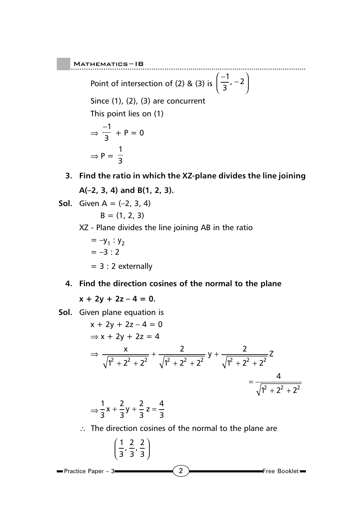Point of intersection of (2) & (3) is  $\left(\frac{-1}{3}, -2\right)$  $\frac{-1}{3}$ , -2

Since  $(1)$ ,  $(2)$ ,  $(3)$  are concurrent

This point lies on (1)

$$
\Rightarrow \frac{-1}{3} + P = 0
$$

$$
\Rightarrow P = \frac{1}{3}
$$

**3. Find the ratio in which the XZ-plane divides the line joining A(–2, 3, 4) and B(1, 2, 3).**

**Sol.** Given 
$$
A = (-2, 3, 4)
$$

$$
B = (1, 2, 3)
$$

- XZ Plane divides the line joining AB in the ratio
	- $= -y_1 : y_2$  $=-3:2$  $= 3 : 2$  externally
- **4. Find the direction cosines of the normal to the plane**

 $x + 2y + 2z - 4 = 0$ .

**Sol.** Given plane equation is

$$
x + 2y + 2z - 4 = 0
$$
  
\n
$$
\Rightarrow x + 2y + 2z = 4
$$
  
\n
$$
\Rightarrow \frac{x}{\sqrt{1^2 + 2^2 + 2^2}} + \frac{2}{\sqrt{1^2 + 2^2 + 2^2}} y + \frac{2}{\sqrt{1^2 + 2^2 + 2^2}} z
$$
  
\n
$$
= \frac{4}{\sqrt{1^2 + 2^2 + 2^2}}
$$
  
\n
$$
\Rightarrow \frac{1}{3}x + \frac{2}{3}y + \frac{2}{3}z = \frac{4}{3}
$$

∴ The direction cosines of the normal to the plane are

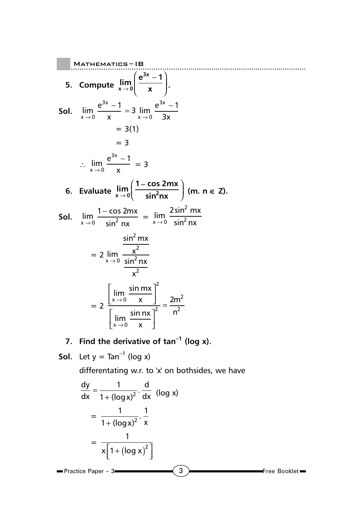5. Compute 
$$
\lim_{x\to0} \left( \frac{e^{3x} - 1}{x} \right)
$$
.  
\n5. Compute  $\lim_{x\to0} \left( \frac{e^{3x} - 1}{x} \right)$ .  
\n5ol.  $\lim_{x\to0} \frac{e^{3x} - 1}{x} = 3 \lim_{x\to0} \frac{e^{3x} - 1}{3x}$   
\n $= 3(1)$   
\n $= 3$   
\n $\therefore \lim_{x\to0} \frac{e^{3x} - 1}{x} = 3$   
\n6. Evaluate  $\lim_{x\to0} \left( \frac{1 - \cos 2mx}{\sin^2 nx} \right)$  (m.  $n \in \mathbb{Z}$ ).  
\n5ol.  $\lim_{x\to0} \frac{1 - \cos 2mx}{\sin^2 nx} = \lim_{x\to0} \frac{2\sin^2 mx}{\sin^2 nx}$   
\n $= 2 \lim_{x\to0} \frac{\frac{\sin^2 mx}{x^2}}{\frac{x^2}{x^2}}$   
\n $= 2 \left[ \lim_{x\to0} \frac{\sin mx}{x} \right]^2$   
\n $= 2 \left[ \lim_{x\to0} \frac{\sin nx}{x} \right]^2 = \frac{2m^2}{n^2}$ 

**7. Find the derivative of tan–1 (log x).**

**Sol.** Let  $y = Tan^{-1}$  (log x)

differentating w.r. to 'x' on bothsides, we have

$$
\frac{dy}{dx} = \frac{1}{1 + (\log x)^2} \cdot \frac{d}{dx} \quad (\log x)
$$
  
= 
$$
\frac{1}{1 + (\log x)^2} \cdot \frac{1}{x}
$$
  
= 
$$
\frac{1}{x \left[ 1 + (\log x)^2 \right]}
$$
  
Practice Paper - 3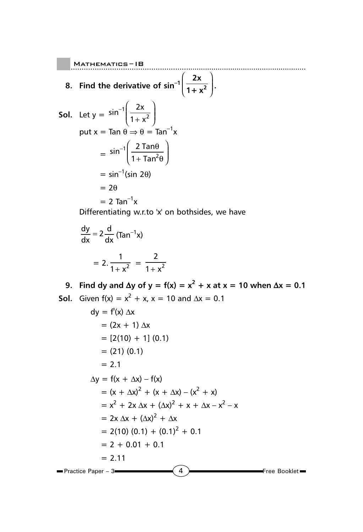- 8. Find the derivative of  $sin^{-1}\left(\frac{2x}{1+x}\right)$ 1+ $x^2$ ſ l I Ì  $\overline{\phantom{a}}$ **.**
- **Sol.** Let  $y = \sin^{-1} \left( \frac{2}{1 + x^2} \right)$ ſ l I  $\left( \right)$  $\big)$  $\frac{2x}{1+x^2}$ 2 2 1 x x put x = Tan  $\theta \Rightarrow \theta = \tan^{-1}x$  $=$  sin<sup>-1</sup> $\frac{2}{1+}$ ſ l I  $\left( \right)$  $\big)$  $\frac{2 \tan \theta}{1 + \tan^2 \theta}$ 2 2 1 Tan Tan θ θ  $=$  sin<sup>-1</sup>(sin 2 $\theta$ )  $= 2\theta$  $= 2$  Tan<sup>-1</sup>x

Differentiating w.r.to 'x' on bothsides, we have

$$
\frac{dy}{dx} = 2 \frac{d}{dx} (\text{Tan}^{-1}x)
$$

$$
= 2 \cdot \frac{1}{1 + x^2} = \frac{2}{1 + x^2}
$$

9. Find dy and  $\Delta y$  of  $y = f(x) = x^2 + x$  at  $x = 10$  when  $\Delta x = 0.1$ **Sol.** Given  $f(x) = x^2 + x$ ,  $x = 10$  and  $\Delta x = 0.1$ 

$$
dy = f'(x) \Delta x
$$
  
\n
$$
= (2x + 1) \Delta x
$$
  
\n
$$
= [2(10) + 1] (0.1)
$$
  
\n
$$
= (21) (0.1)
$$
  
\n
$$
= 2.1
$$
  
\n
$$
\Delta y = f(x + \Delta x) - f(x)
$$
  
\n
$$
= (x + \Delta x)^2 + (x + \Delta x) - (x^2 + x)
$$
  
\n
$$
= x^2 + 2x \Delta x + (\Delta x)^2 + x + \Delta x - x^2 - x
$$
  
\n
$$
= 2x \Delta x + (\Delta x)^2 + \Delta x
$$
  
\n
$$
= 2(10) (0.1) + (0.1)^2 + 0.1
$$
  
\n
$$
= 2 + 0.01 + 0.1
$$
  
\n
$$
= 2.11
$$
  
\nPractice Paper - 3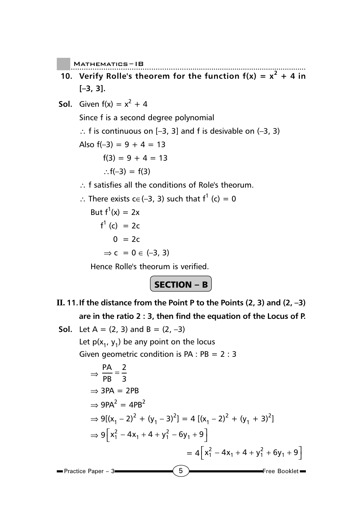- **10.** Verify Rolle's theorem for the function  $f(x) = x^2 + 4$  in **[–3, 3].**
- **Sol.** Given  $f(x) = x^2 + 4$ Since f is a second degree polynomial ∴ f is continuous on  $[-3, 3]$  and f is desivable on  $(-3, 3)$ Also  $f(-3) = 9 + 4 = 13$  $f(3) = 9 + 4 = 13$ ∴ $f(-3) = f(3)$ ∴ f satisfies all the conditions of Role's theorum. ∴ There exists  $c \in (-3, 3)$  such that  $f^1$  (c) = 0 But  $f^1(x) = 2x$ f<sup>1</sup> (c) = 2c  $0 = 2c$  $\Rightarrow c = 0 \in (-3, 3)$

Hence Rolle's theorum is verified.

SECTION –  $B$ 

- **II. 11.If the distance from the Point P to the Points (2, 3) and (2, –3) are in the ratio 2 : 3, then find the equation of the Locus of P.**
- **Sol.** Let  $A = (2, 3)$  and  $B = (2, -3)$ Let  $p(x_1, y_1)$  be any point on the locus Given geometric condition is  $PA : PB = 2 : 3$ ⇒  $\frac{PA}{PB} = \frac{2}{3}$  $\Rightarrow$  3PA = 2PB  $\Rightarrow$  9PA<sup>2</sup> = 4PB<sup>2</sup>  $\Rightarrow$  9[(x<sub>1</sub> – 2)<sup>2</sup> + (y<sub>1</sub> – 3)<sup>2</sup>] = 4 [(x<sub>1</sub> – 2)<sup>2</sup> + (y<sub>1</sub> + 3)<sup>2</sup>]

$$
\Rightarrow 9[x_1^2 - 4x_1 + 4 + y_1^2 - 6y_1 + 9]
$$
  
= 4[x\_1^2 - 4x\_1 + 4 + y\_1^2 + 6y\_1 + 9]  
Practice Paper - 3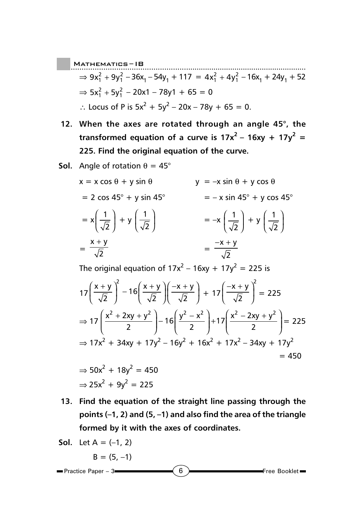..................................................... Mathematics ......................................................... – IB  $\Rightarrow$  9x<sub>1</sub><sup>2</sup> + 9y<sub>1</sub><sup>2</sup> - 36x<sub>1</sub> - 54y<sub>1</sub> + 117 = 4x<sub>1</sub><sup>2</sup> + 4y<sub>1</sub><sup>2</sup> - 16x<sub>1</sub> + 24y<sub>1</sub> + 52  $\Rightarrow$  5x<sub>1</sub><sup>2</sup> + 5y<sub>1</sub><sup>2</sup> - 20x1 - 78y1 + 65 = 0 ∴ Locus of P is  $5x^2 + 5y^2 - 20x - 78y + 65 = 0$ .

- **12. When the axes are rotated through an angle 45°, the** transformed equation of a curve is  $17x^2 - 16xy + 17y^2 =$ **225. Find the original equation of the curve.**
- **Sol.** Angle of rotation  $\theta = 45^\circ$

$$
x = x \cos \theta + y \sin \theta
$$
  
\n
$$
y = -x \sin \theta + y \cos \theta
$$
  
\n
$$
= 2 \cos 45^{\circ} + y \sin 45^{\circ}
$$
  
\n
$$
= x \left(\frac{1}{\sqrt{2}}\right) + y \left(\frac{1}{\sqrt{2}}\right)
$$
  
\n
$$
= \frac{x + y}{\sqrt{2}}
$$
  
\n
$$
= \frac{-x + y}{\sqrt{2}}
$$

The original equation of 17x<sup>2</sup> – 16xy + 17y<sup>2</sup> = 225 is

$$
17\left(\frac{x+y}{\sqrt{2}}\right)^2 - 16\left(\frac{x+y}{\sqrt{2}}\right)\left(\frac{-x+y}{\sqrt{2}}\right) + 17\left(\frac{-x+y}{\sqrt{2}}\right)^2 = 225
$$
  
\n
$$
\Rightarrow 17\left(\frac{x^2 + 2xy + y^2}{2}\right) - 16\left(\frac{y^2 - x^2}{2}\right) + 17\left(\frac{x^2 - 2xy + y^2}{2}\right) = 225
$$
  
\n
$$
\Rightarrow 17x^2 + 34xy + 17y^2 - 16y^2 + 16x^2 + 17x^2 - 34xy + 17y^2 = 450
$$
  
\n
$$
\Rightarrow 50x^2 + 18y^2 = 450
$$

$$
\Rightarrow 25x^2 + 9y^2 = 225
$$

**13. Find the equation of the straight line passing through the points (–1, 2) and (5, –1) and also find the area of the triangle formed by it with the axes of coordinates.**

**Sol.** Let 
$$
A = (-1, 2)
$$

\n $B = (5, -1)$ 

\nPractice Paper - 3

\n**1**

\n**1**

\n**2**

\n**3**

\n**3**

\n**4**

\n**5**

\n**6**

\n**8**

\n**9**

\n**1**

\n**1**

\n**1**

\n**1**

\n**1**

\n**2**

\n**3**

\n**4**

\n**5**

\n**6**

\n**8**

\n**1**

\n**1**

\n**1**

\n**1**

\n**1**

\n**1**

\n**1**

\n**1**

\n**1**

\n**1**

\n**1**

\n**1**

\n**1**

\n**1**

\n**1**

\n**1**

\n**1**

\n**1**

\n**1**

\n**1**

\n**1**

\n**1**

\n**1**

\n**1**

\n**1**

\n**1**

\n**1**

\n**1**

\n**1**

\n**1**

\n**1**

\n**1**

\n**1**

\n**1**

\n**1**

\n**1**

\n**1**

\n**1**

\n**1**

\n**1**

\n**1**

\n**1**

\n**1**

\n**1**

\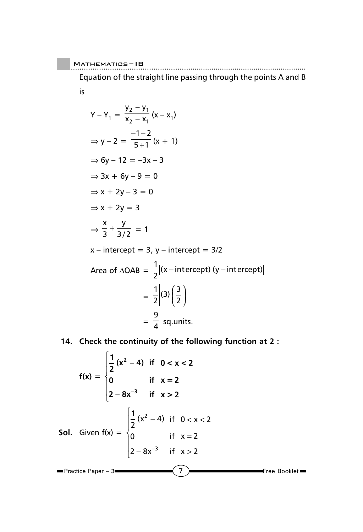Equation of the straight line passing through the points A and B is

$$
Y - Y_1 = \frac{y_2 - y_1}{x_2 - x_1} (x - x_1)
$$
  
\n
$$
\Rightarrow y - 2 = \frac{-1 - 2}{5 + 1} (x + 1)
$$
  
\n
$$
\Rightarrow 6y - 12 = -3x - 3
$$
  
\n
$$
\Rightarrow 3x + 6y - 9 = 0
$$
  
\n
$$
\Rightarrow x + 2y - 3 = 0
$$
  
\n
$$
\Rightarrow x + 2y = 3
$$
  
\n
$$
\Rightarrow \frac{x}{3} + \frac{y}{3/2} = 1
$$
  
\n
$$
x - intercept = 3, y - intercept = 3/2
$$
  
\nArea of  $\triangle OAB = \frac{1}{2} |(x - intercept) (y - intercept)$   
\n
$$
= \frac{1}{2} |(3) (\frac{3}{2})
$$
  
\n
$$
= \frac{9}{4} sq. units.
$$

#### **14. Check the continuity of the following function at 2 :**

 $\left(7\right)$  Free Booklet Practice Paper – 3 **f(x) =**   $\frac{1}{2}(x^2-4)$  if  $0 < x < 2$ **0 if x =2**  $2 - 8x^{-3}$  if  $x > 2$ **2 3** − −  $\overline{1}$ ₹  $\mathbf{I}$  $\mathsf{I}$  $\mathfrak l$  $\mathbf{I}$  $|2 - 8x^{-}|$ **Sol.** Given f(x) = 1  $\frac{1}{2}(x^2-4)$  if  $0 < x < 2$ 0 if  $x = 2$  $2 - 8x^{-3}$  if  $x > 2$ 2 3  $(x^2 - 4)$  if  $0 < x$ if x  $x^{-3}$  if x  $-4$ ) if  $0 < x <$ =  $-8x^{-3}$  if  $x >$  $\overline{1}$ ₹  $\overline{\phantom{a}}$  $\mathsf{I}$  $\mathsf{l}$  $\overline{1}$  $|2 - 8x^{-}$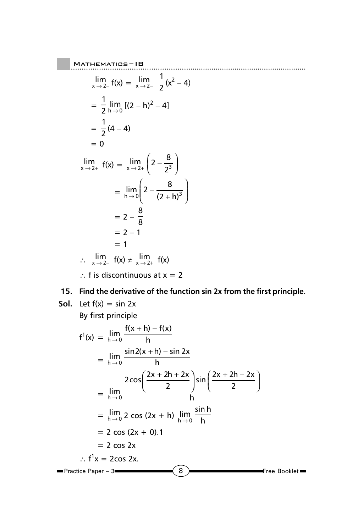$$
\lim_{x \to 2^{-}} f(x) = \lim_{x \to 2^{-}} \frac{1}{2} (x^{2} - 4)
$$
\n
$$
= \frac{1}{2} \lim_{h \to 0} [(2 - h)^{2} - 4]
$$
\n
$$
= \frac{1}{2} (4 - 4)
$$
\n
$$
= 0
$$
\n
$$
\lim_{x \to 2^{+}} f(x) = \lim_{x \to 2^{+}} \left(2 - \frac{8}{2^{3}}\right)
$$
\n
$$
= \lim_{h \to 0} \left(2 - \frac{8}{(2 + h)^{3}}\right)
$$
\n
$$
= 2 - \frac{8}{8}
$$
\n
$$
= 2 - 1
$$
\n
$$
= 1
$$
\n
$$
\therefore \lim_{x \to 2^{-}} f(x) \neq \lim_{x \to 2^{+}} f(x)
$$

∴ f is discontinuous at  $x = 2$ 

### **15. Find the derivative of the function sin 2x from the first principle.**

Mathematics ......................................................... – IB

**Sol.** Let  $f(x) = \sin 2x$ 

By first principle

$$
f^{1}(x) = \lim_{h \to 0} \frac{f(x+h) - f(x)}{h}
$$
  
= 
$$
\lim_{h \to 0} \frac{\sin 2(x+h) - \sin 2x}{h}
$$
  
= 
$$
\lim_{h \to 0} \frac{2 \cos \left( \frac{2x + 2h + 2x}{2} \right) \sin \left( \frac{2x + 2h - 2x}{2} \right)}{h}
$$
  
= 
$$
\lim_{h \to 0} 2 \cos (2x + h) \lim_{h \to 0} \frac{\sin h}{h}
$$
  
= 
$$
2 \cos (2x + 0) .1
$$
  
= 
$$
2 \cos 2x
$$
  

$$
\therefore f^{1}x = 2 \cos 2x.
$$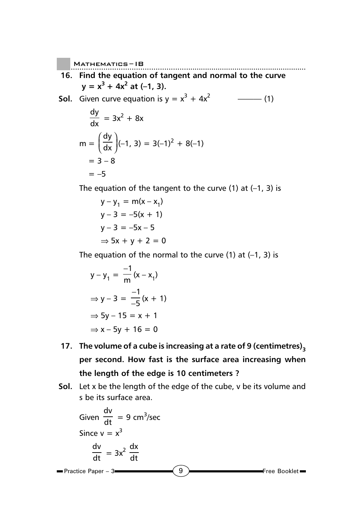dy

**16. Find the equation of tangent and normal to the curve**  $y = x^3 + 4x^2$  at (-1, 3).

**Sol.** Given curve equation is y = x3 + 4x2 ——— (1)

$$
\frac{dy}{dx} = 3x^2 + 8x
$$
  
\n
$$
m = \left(\frac{dy}{dx}\right)(-1, 3) = 3(-1)^2 + 8(-1)
$$
  
\n
$$
= 3 - 8
$$
  
\n
$$
= -5
$$

The equation of the tangent to the curve  $(1)$  at  $(-1, 3)$  is

$$
y - y_1 = m(x - x_1)
$$
  
\n
$$
y - 3 = -5(x + 1)
$$
  
\n
$$
y - 3 = -5x - 5
$$
  
\n
$$
\Rightarrow 5x + y + 2 = 0
$$

The equation of the normal to the curve  $(1)$  at  $(-1, 3)$  is

$$
y - y_1 = \frac{-1}{m}(x - x_1)
$$
  
\n
$$
\Rightarrow y - 3 = \frac{-1}{-5}(x + 1)
$$
  
\n
$$
\Rightarrow 5y - 15 = x + 1
$$
  
\n
$$
\Rightarrow x - 5y + 16 = 0
$$

- **17.** The volume of a cube is increasing at a rate of 9 (centimetres)<sub>3</sub> **per second. How fast is the surface area increasing when the length of the edge is 10 centimeters ?**
- **Sol.** Let x be the length of the edge of the cube, v be its volume and s be its surface area.

Given 
$$
\frac{dv}{dt} = 9 \text{ cm}^3/\text{sec}
$$
  
\nSince  $v = x^3$   
\n $\frac{dv}{dt} = 3x^2 \frac{dx}{dt}$   
\n= Practice Paper - 3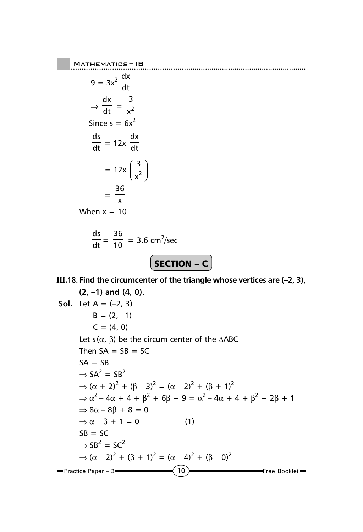$$
9 = 3x^{2} \frac{dx}{dt}
$$
  
\n
$$
\Rightarrow \frac{dx}{dt} = \frac{3}{x^{2}}
$$
  
\nSince  $s = 6x^{2}$   
\n
$$
\frac{ds}{dt} = 12x \frac{dx}{dt}
$$
  
\n
$$
= 12x \left(\frac{3}{x^{2}}\right)
$$
  
\n
$$
= \frac{36}{x}
$$

When  $x = 10$ 

$$
\frac{ds}{dt} = \frac{36}{10} = 3.6 \text{ cm}^2/\text{sec}
$$

| <b>SECTION – C</b> |  |
|--------------------|--|
|                    |  |

### **III.18. Find the circumcenter of the triangle whose vertices are (–2, 3),**

**(2, –1) and (4, 0). Sol.** Let A = (–2, 3) B = (2, –1) C = (4, 0) Let s (α, β) be the circum center of the ∆ABC Then SA = SB = SC SA = SB ⇒ SA2 = SB2 ⇒ (α + 2)<sup>2</sup> + (β – 3)2 = (α – 2)2 + (β + 1)<sup>2</sup> ⇒ α2 – 4α + 4 + β<sup>2</sup> + 6β + 9 = α2 – 4α + 4 + β<sup>2</sup> + 2β + 1 ⇒ 8α – 8β + 8 = 0 ⇒ α – β + 1 = 0 ——— (1) SB = SC ⇒ SB2 = SC2 ⇒ (α – 2)2 + (β + 1)<sup>2</sup> = (α – 4)2 + (β – 0)2Practice Paper – 3 10 Free Booklet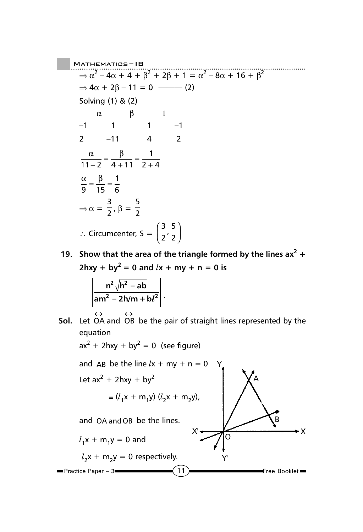..................................................... Mathematics ......................................................... – IB  $\Rightarrow \alpha^2 - 4\alpha + 4 + \beta^2 + 2\beta + 1 = \alpha^2 - 8\alpha + 16 + \beta^2$  $\Rightarrow$  4α + 2β - 11 = 0 ------ (2) Solving (1) & (2)  $\alpha$  β 1 –1 1 1 –1 2  $-11$  4 2 α β  $11 - 2$   $4 + 11$  $\frac{\alpha}{-2} = \frac{\beta}{4+11} = \frac{1}{2+4}$ α β 9 15  $=\frac{\beta}{15}=\frac{1}{6}$  $\Rightarrow \alpha = \frac{3}{2}, \beta = \frac{5}{2}$ ∴ Circumcenter, S = 3 2 5 2  $\left(\frac{3}{5}\right)$  $\left(\frac{3}{2},\frac{5}{2}\right)$ 

19. Show that the area of the triangle formed by the lines  $ax^2 + bx^2$  $2hxy + by^2 = 0$  and  $lx + my + n = 0$  is

$$
\left|\frac{n^2\sqrt{h^2-ab}}{am^2-2h/m+b l^2}\right|.
$$

 $ax^2 + 2hxy + by^2 = 0$  (see figure)

**Sol.** Let  $\leftrightarrow$   $\leftrightarrow$ OA and OB be the pair of straight lines represented by the equation

and AB be the line 
$$
lx + my + n = 0
$$
  
\nLet  $ax^2 + 2hxy + by^2$   
\n $\equiv (l_1x + m_1y) (l_2x + m_2y),$   
\nand OA and OB be the lines.  
\n $l_1x + m_1y = 0$  and  
\n $l_2x + m_2y = 0$  respectively.  
\nPractice Paper - 3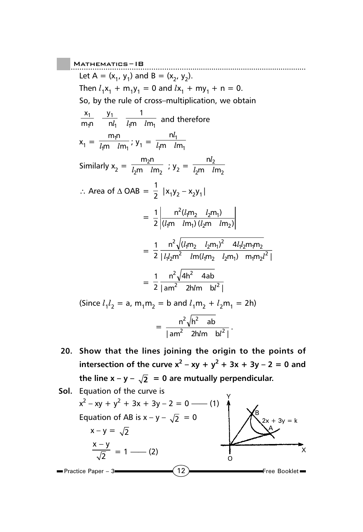.....................................................  $M$ ATHEMATICS – IB Let  $A = (x_1, y_1)$  and  $B = (x_2, y_2)$ . Then  $l_1x_1 + m_1y_1 = 0$  and  $lx_1 + my_1 + n = 0$ . So, by the rule of cross–multiplication, we obtain  $1 - 4$ 111  $\mu$ 111<sub>1</sub> 1 1 1 m *l*m 1 n y  $m_1$ n x  $\overline{l_{1}}$   $\overline{l_{2}m}$  and therefore  $x_1 = \frac{m_1 n_1}{l_1 m}$ m *l*m  $\frac{m_1 n}{l_1 m}$ ; y<sub>1</sub> =  $\frac{n l_1}{l_1 m}$   $\frac{n l_1}{l_1 m}$ m *l*m n  $l$ m  $l$ l Similarly  $x_2 = \frac{m_2 m}{l_2 m} \frac{l m_2}{l m_2}$ m *l*m  $m<sub>2</sub>$ n  $\frac{m_2 n}{l_2 m}$  ;  $y_2 = \frac{m_2}{l_2 m}$ m *l*m n  $l<sub>2</sub>$ m  $l<sub>1</sub>$ l ∴ Area of  $\triangle$  OAB =  $\frac{1}{2}$  |x<sub>1</sub>y<sub>2</sub> - x<sub>2</sub>y<sub>1</sub>|  $= \frac{1}{2} \frac{n^2 (l_1 m_2 - l_2 m_1)}{(l_1 m - l m_1) (l_2 m - l m_2)}$ 2 1  $_{1}$ 11  $\mu$ 111<sub>1</sub>  $\mu$ <sub>2</sub>111  $\mu$ 111<sub>2</sub>  $^{2}(l_{1}m_{2} \quad l_{2}m_{1})$  $lm \, lm \, (l<sub>2</sub>m \, l)$  $lm,$   $l$  $= \frac{1}{2} \frac{1}{\left[ l_1 l_2 m^2 \right]^{1/2} \left[ m (l_1 m_2 - l_2 m_1) \right]^{1/2} \left[ m_1 m_2 l^2 \right]}$  $n^2 \sqrt{(l_1 m_2} l_2 m_1)^2}$  4 $l_1 l_2 m_1 m$ 2 1  $l_1 l_2$ m $^2$   $lm(l_1 m_2$   $l_2 m_1)$   $m_1 m_2 l^2$  $^{2}$  $\sqrt{(l_{1}m_{2} \quad l_{2}m_{1})^{2}}$   $4l_{1}l_{2}m_{1}m_{2}$  $l_l l_2 m^2$   $lm(l_1 m_2$   $l_2 m_1)$   $m_1 m_2 l$  $l_{\rm i}$ m<sub>2</sub>  $l_{\rm i}$ m<sub>1</sub>)<sup>2</sup> 4 $l_{\rm i}$ l  $= \frac{1}{2} \frac{n^2 \sqrt{4h^2 - 4ab}}{\left| am^2 - 2h/m \right| \left| b^2 \right|}$ 2 1  $2 \frac{\hbar m}{\hbar^2}$  $2 \ln 2$  $lm$  bl  $(Since l_1 l_2 = a, m_1 m_2 = b and l_1 m_2 + l_2 m_1 = 2h)$  $= \frac{n^2 \sqrt{h^2} \quad \text{ab}}{\left| \text{am}^2 \quad \text{2h/m} \quad \text{b} l^2 \right|}$ 2  $\sqrt{h^2}$ 

**20. Show that the lines joining the origin to the points of intersection of the curve**  $x^2 - xy + y^2 + 3x + 3y - 2 = 0$  **and** the line  $x - y - \sqrt{2} = 0$  are mutually perpendicular.

 $^{2}$  2hlm  $h^{12}$ 

 $\frac{d^{2}}{lm}$   $\frac{b l^{2}}{l}$ .

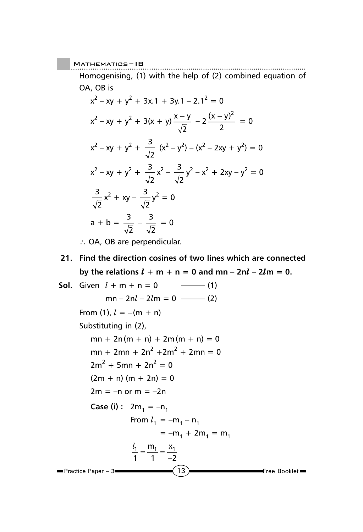Homogenising, (1) with the help of (2) combined equation of OA, OB is

$$
x^{2}-xy + y^{2} + 3x \cdot 1 + 3y \cdot 1 - 2 \cdot 1^{2} = 0
$$
  
\n
$$
x^{2}-xy + y^{2} + 3(x + y) \frac{x-y}{\sqrt{2}} - 2 \frac{(x - y)^{2}}{2} = 0
$$
  
\n
$$
x^{2}-xy + y^{2} + \frac{3}{\sqrt{2}} (x^{2} - y^{2}) - (x^{2} - 2xy + y^{2}) = 0
$$
  
\n
$$
x^{2}-xy + y^{2} + \frac{3}{\sqrt{2}} x^{2} - \frac{3}{\sqrt{2}} y^{2} - x^{2} + 2xy - y^{2} = 0
$$
  
\n
$$
\frac{3}{\sqrt{2}} x^{2} + xy - \frac{3}{\sqrt{2}} y^{2} = 0
$$
  
\n
$$
a + b = \frac{3}{\sqrt{2}} - \frac{3}{\sqrt{2}} = 0
$$

∴ OA, OB are perpendicular.

### **21. Find the direction cosines of two lines which are connected** by the relations  $l + m + n = 0$  and  $mn - 2nl - 2lm = 0$ .

 $\sim$  13  $\sim$  Free Booklet Practice Paper – 3 **Sol.** Given  $l + m + n = 0$  ––––––––(1)  $mn - 2nl - 2lm = 0$  ——— (2) From (1),  $l = -(m + n)$ Substituting in (2),  $mn + 2n(m + n) + 2m(m + n) = 0$  $mn + 2mn + 2n^2 + 2m^2 + 2mn = 0$  $2m^2 + 5mn + 2n^2 = 0$  $(2m + n)(m + 2n) = 0$  $2m = -n$  or  $m = -2n$ **Case (i) :**  $2m_1 = -n_1$ From  $l_1 = -m_1 - n_1$  $=-m_1 + 2m_1 = m_1$  $\frac{l_1}{1} = \frac{m_1}{1} = \frac{x_1}{-2}$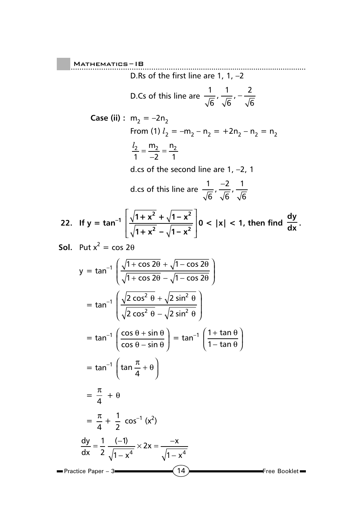..................................................... Mathematics ......................................................... – IB D.Rs of the first line are 1, 1,  $-2$ D.Cs of this line are  $\frac{1}{\sqrt{2}}$ 6 1 6  $,\frac{1}{\sqrt{6}},-\frac{2}{\sqrt{6}}$ **Case (ii)** :  $m_2 = -2n_2$ From (1)  $l_2 = -m_2 - n_2 = +2n_2 - n_2 = n_2$  $\frac{l_2}{1} = \frac{m_2}{-2} = \frac{n_2}{1}$ d.cs of the second line are 1, –2, 1 d.cs of this line are  $\frac{1}{\sqrt{2}}$ 6 2 6  $\frac{-2}{\sqrt{6}}$ ,  $\frac{1}{\sqrt{6}}$ **22.** If  $y = \tan^{-1} \left[ \frac{\sqrt{1 + x^2} + \sqrt{1 - x}}{\sqrt{1 - x^2}} \right]$  $1 + x^2 - \sqrt{1 - x}$  $2 + 4 - x^2$  $2 - 11 - x^2$ I  $\mathsf{L}% _{0}\left( \mathsf{L}_{1}\right)$ I I  $\overline{\phantom{a}}$ J  $\overline{\phantom{a}}$  $\left|0 < |x| < 1$ , then find  $\frac{dy}{dx}$ . **Sol.** Put  $x^2 = \cos 2\theta$  $y = \tan^{-1} \left( \frac{\sqrt{1 + \cos 2\theta} + \sqrt{1 - \cos 2\theta}}{\sqrt{1 - \cos 2\theta}} \right)$  $1 + \cos 2\theta - \sqrt{1 - \cos 2\theta}$  $+$  cos 2 $\theta$  +  $\sqrt{1}$   $-$ + cos 2θ − √1 − ſ l  $\overline{\phantom{a}}$  $\lambda$  $\overline{\phantom{a}}$  cos 2 $\theta$  +  $\sqrt{1}$  – cos cos 2 $\theta - \sqrt{1 - \cos \theta}$  $θ + √1 - cos 2θ$ θ –  $\sqrt{1}$ – cos 2θ  $=$  tan<sup>-1</sup>  $\sqrt{2 \cos^2 \theta + \sqrt{2}}$ 2 cos<sup>2</sup>  $\theta - \sqrt{2}$  $2a + b \sin^2$  $2 \rho$   $\sigma$   $sin^2$  $\cos^2 \theta + \sqrt{2} \sin$  $\cos^2\,\theta-\sqrt{2}\,\sin$  $\theta$  +  $\sqrt{2}$  sin<sup>2</sup>  $\theta$  $\theta - \sqrt{2}$  sin<sup>2</sup>  $\theta$ + − ſ l I I  $\left( \right)$  $\big)$ J J  $=$  tan<sup>-1</sup>  $\left( \frac{\cos \theta + \sin \theta}{\sin \theta} \right)$ cos  $\theta$  – sin  $\theta$  + sin  $\theta$ θ – sin θ + − ſ l  $\left(\frac{\cos \theta + \sin \theta}{\cos \theta + \sin \theta}\right)$  $\bigg)$  $= \tan^{-1} \left( \frac{1}{1} \right)$ + − ſ l  $\left(\frac{1+\tan\theta}{1-\tan\theta}\right)$  $\overline{\phantom{a}}$  $\frac{\tan\theta}{\tan\theta}$ θ θ  $=$  tan<sup>-1</sup>  $\left(\tan{\frac{\pi}{4}} + \theta\right)$  $\int \tan \frac{\pi}{4} +$  $\left(\tan\frac{\pi}{4}+\theta\right)$  $=\frac{\pi}{4} + \theta$  $=\frac{\pi}{4} + \frac{1}{2}$  $\frac{1}{2}$  cos<sup>-1</sup> (x<sup>2</sup>) dy dx 2  $\sqrt{1-x}$  $x = \frac{-x}{\sqrt{2}}$ x  $=\frac{1}{2}$   $\frac{(-1)^{n-1}}{n-1}$ −  $\times$  2x =  $\frac{-}{\sqrt{-}}$ − 1 2 1 1 2 4  $\sqrt{1-x^4}$  $(-1)$ 

Practice Paper – 3

14 **Free Booklet**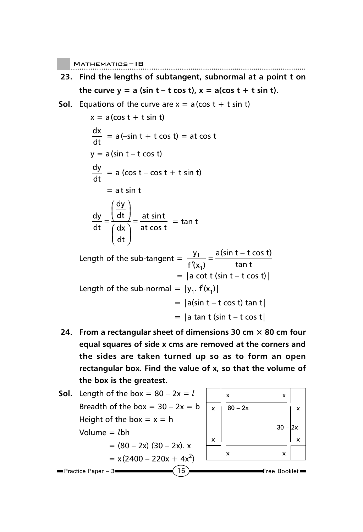- **23. Find the lengths of subtangent, subnormal at a point t on** the curve  $y = a$  (sin  $t - t \cos t$ ),  $x = a(\cos t + t \sin t)$ .
- **Sol.** Equations of the curve are  $x = a$  (cos  $t + t \sin t$ )

$$
x = a(\cos t + t \sin t)
$$
\n
$$
\frac{dx}{dt} = a(-\sin t + t \cos t) = at \cos t
$$
\n
$$
y = a(\sin t - t \cos t)
$$
\n
$$
\frac{dy}{dt} = a(\cos t - \cos t + t \sin t)
$$
\n
$$
= at \sin t
$$
\n
$$
\frac{dy}{dt} = \frac{\left(\frac{dy}{dt}\right)}{\left(\frac{dx}{dt}\right)} = \frac{at \sin t}{at \cos t} = \tan t
$$

Length of the sub-tangent =  $\frac{y}{\sqrt{y}}$ f x a(sin t – t cos t t 1  $'(x_1)$  $=\frac{a(\sin t - t \cos t)}{\tan t}$  $= |a \cot t \sin t - t \cos t|$ Length of the sub-normal =  $|y_1$ .  $f'(x_1)|$  $= |a(\sin t - t \cos t) \tan t|$  $= |a \tan t$  (sin  $t - t \cos t|$ 

**24. From a rectangular sheet of dimensions 30 cm × 80 cm four equal squares of side x cms are removed at the corners and the sides are taken turned up so as to form an open rectangular box. Find the value of x, so that the volume of the box is the greatest.**

**Sol.** Length of the box = 
$$
80 - 2x = l
$$

\nBreadth of the box =  $30 - 2x = b$ 

\nHeight of the box =  $x = h$ 

\nVolume =  $lbh$ 

\n=  $(80 - 2x)(30 - 2x)$ .  $x$ 

\n=  $x(2400 - 220x + 4x^2)$ 

\nPractice Paper - 3

\n**Exercise**

\n